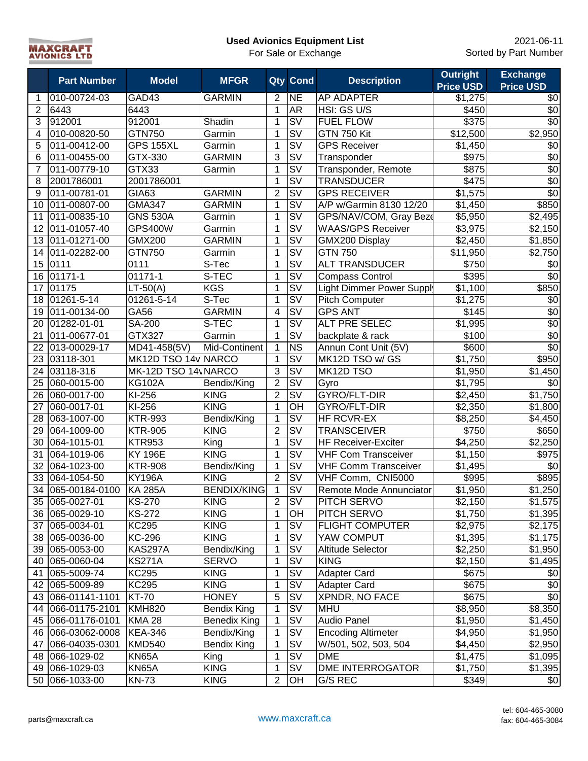**Used Avionics Equipment List** For Sale or Exchange



|                | <b>Part Number</b> | <b>Model</b>        | <b>MFGR</b>         | Qty            | <b>Cond</b>                                  | <b>Description</b>          | <b>Outright</b>     | <b>Exchange</b>  |
|----------------|--------------------|---------------------|---------------------|----------------|----------------------------------------------|-----------------------------|---------------------|------------------|
|                |                    |                     |                     |                |                                              |                             | <b>Price USD</b>    | <b>Price USD</b> |
| 1              | 010-00724-03       | GAD43               | <b>GARMIN</b>       | $\overline{2}$ | <b>NE</b>                                    | AP ADAPTER                  | \$1,275             | \$0              |
| $\overline{2}$ | 6443               | 6443                |                     | $\mathbf{1}$   | <b>AR</b>                                    | HSI: GS U/S                 | \$450               | $\sqrt{6}$       |
| 3              | 912001             | 912001              | Shadin              | $\mathbf 1$    | $\overline{\mathsf{S}\mathsf{V}}$            | <b>FUEL FLOW</b>            | \$375               | $\overline{30}$  |
| 4              | 010-00820-50       | GTN750              | Garmin              | 1              | $\overline{\mathsf{S}\mathsf{V}}$            | <b>GTN 750 Kit</b>          | \$12,500            | \$2,950          |
| 5              | 011-00412-00       | <b>GPS 155XL</b>    | Garmin              | 1              | $\overline{\mathsf{sv}}$                     | <b>GPS Receiver</b>         | \$1,450             | \$0              |
| 6              | 011-00455-00       | GTX-330             | <b>GARMIN</b>       | 3              | $\overline{\text{SV}}$                       | Transponder                 | \$975               | $\overline{30}$  |
| 7              | 011-00779-10       | GTX33               | Garmin              | 1              | $\overline{\mathsf{sv}}$                     | Transponder, Remote         | \$875               | $\overline{30}$  |
| 8              | 2001786001         | 2001786001          |                     | 1              | $\overline{\mathsf{S}\mathsf{V}}$            | <b>TRANSDUCER</b>           | \$475               | $\overline{30}$  |
| 9              | 011-00781-01       | <b>GIA63</b>        | <b>GARMIN</b>       | $\overline{2}$ | $\overline{\mathsf{sv}}$                     | <b>GPS RECEIVER</b>         | \$1,575             | $\overline{$}0$  |
| 10             | 011-00807-00       | <b>GMA347</b>       | <b>GARMIN</b>       | 1              | $\overline{\mathsf{sv}}$                     | A/P w/Garmin 8130 12/20     | \$1,450             | \$850            |
| 11             | 011-00835-10       | <b>GNS 530A</b>     | Garmin              | $\mathbf{1}$   | $\overline{\mathsf{S}}\mathsf{V}$            | GPS/NAV/COM, Gray Beze      | \$5,950             | \$2,495          |
| 12             | 011-01057-40       | <b>GPS400W</b>      | Garmin              | $\mathbf{1}$   | SV                                           | <b>WAAS/GPS Receiver</b>    | \$3,975             | \$2,150          |
| 13             | 011-01271-00       | <b>GMX200</b>       | <b>GARMIN</b>       | 1              | <b>SV</b>                                    | GMX200 Display              | \$2,450             | \$1,850          |
| 14             | 011-02282-00       | <b>GTN750</b>       | Garmin              | 1              | <b>SV</b>                                    | <b>GTN 750</b>              | \$11,950            | \$2,750          |
| 15             | 0111               | 0111                | S-Tec               | 1              | <b>SV</b>                                    | <b>ALT TRANSDUCER</b>       | \$750               | \$0              |
| 16             | 01171-1            | 01171-1             | S-TEC               | 1              | <b>SV</b>                                    | <b>Compass Control</b>      | \$395               | $\sqrt{6}$       |
| 17             | 01175              | $LT-50(A)$          | <b>KGS</b>          | 1              | <b>SV</b>                                    | Light Dimmer Power Supply   | \$1,100             | \$850            |
| 18             | 01261-5-14         | 01261-5-14          | S-Tec               | 1              | <b>SV</b>                                    | <b>Pitch Computer</b>       | \$1,275             | \$0              |
| 19             | 011-00134-00       | GA56                | <b>GARMIN</b>       | 4              | <b>SV</b>                                    | <b>GPS ANT</b>              | \$145               | \$0              |
| 20             | 01282-01-01        | SA-200              | S-TEC               | 1              | $\overline{\mathsf{S}\mathsf{V}}$            | ALT PRE SELEC               | \$1,995             | \$0              |
| 21             | 011-00677-01       | GTX327              | Garmin              | $\overline{1}$ | $\overline{\mathsf{S}\mathsf{V}}$            | backplate & rack            | \$100               | $\sqrt{6}$       |
| 22             | 013-00029-17       | MD41-458(5V)        | Mid-Continent       | $\mathbf{1}$   | <b>NS</b>                                    | Annun Cont Unit (5V)        | \$600               | $\overline{60}$  |
| 23             | 03118-301          | MK12D TSO 14v NARCO |                     | $\mathbf{1}$   | $\overline{\mathsf{S}\mathsf{V}}$            | MK12D TSO w/ GS             | \$1,750             | \$950            |
| 24             | 03118-316          | MK-12D TSO 14 NARCO |                     | $\overline{3}$ | $\overline{\mathsf{S}\mathsf{V}}$            | MK12D TSO                   | \$1,950             | \$1,450          |
| 25             | 060-0015-00        | <b>KG102A</b>       | Bendix/King         | $\overline{c}$ | $\overline{\mathsf{sv}}$                     | Gyro                        | \$1,795             | \$0              |
| 26             | 060-0017-00        | KI-256              | <b>KING</b>         | $\overline{2}$ | $\overline{\mathsf{sv}}$                     | GYRO/FLT-DIR                | \$2,450             | \$1,750          |
| 27             | 060-0017-01        | KI-256              | <b>KING</b>         | 1              | $\overline{O}$ H                             | GYRO/FLT-DIR                | \$2,350             | \$1,800          |
| 28             | 063-1007-00        | <b>KTR-993</b>      | Bendix/King         | $\mathbf 1$    | $\overline{\mathsf{S}}\overline{\mathsf{V}}$ | HF RCVR-EX                  | \$8,250             | \$4,450          |
| 29             | 064-1009-00        | <b>KTR-905</b>      | <b>KING</b>         | $\overline{2}$ | $\overline{\mathsf{sv}}$                     | <b>TRANSCEIVER</b>          | \$750               | \$650            |
| 30             | 064-1015-01        | <b>KTR953</b>       | King                | 1              | $\overline{\mathsf{S}}\overline{\mathsf{V}}$ | <b>HF Receiver-Exciter</b>  | $\overline{$4,250}$ | \$2,250          |
| 31             | 064-1019-06        | <b>KY 196E</b>      | <b>KING</b>         | 1              | $\overline{\mathsf{S}}\overline{\mathsf{V}}$ | <b>VHF Com Transceiver</b>  | \$1,150             | \$975            |
| 32             | 064-1023-00        | <b>KTR-908</b>      | Bendix/King         | $\mathbf 1$    | $\overline{\mathsf{S}}\overline{\mathsf{V}}$ | <b>VHF Comm Transceiver</b> | \$1,495             | \$0              |
| 33             | 064-1054-50        | <b>KY196A</b>       | <b>KING</b>         | $\overline{2}$ | $\overline{\mathsf{S}}\overline{\mathsf{V}}$ | VHF Comm, CNI5000           | \$995               | \$895            |
| 34             | 065-00184-0100     | <b>KA 285A</b>      | <b>BENDIX/KING</b>  | 1              | $\overline{\mathsf{S}}\overline{\mathsf{V}}$ | Remote Mode Annunciator     | \$1,950             | \$1,250          |
|                | 35 065-0027-01     | <b>KS-270</b>       | <b>KING</b>         | 2              | SV                                           | PITCH SERVO                 | \$2,150             | \$1,575          |
|                | 36 065-0029-10     | <b>KS-272</b>       | <b>KING</b>         | 1              | OH                                           | PITCH SERVO                 | \$1,750             | \$1,395          |
| 37             | 065-0034-01        | KC295               | <b>KING</b>         | 1              | $\overline{\mathsf{S}\mathsf{V}}$            | <b>FLIGHT COMPUTER</b>      | \$2,975             | \$2,175          |
| 38             | 065-0036-00        | <b>KC-296</b>       | <b>KING</b>         | 1              | $\overline{\mathsf{S}\mathsf{V}}$            | YAW COMPUT                  | \$1,395             | \$1,175          |
| 39             | 065-0053-00        | KAS297A             | Bendix/King         | 1              | $\overline{\mathsf{S}\mathsf{V}}$            | Altitude Selector           | \$2,250             | \$1,950          |
| 40             | 065-0060-04        | <b>KS271A</b>       | <b>SERVO</b>        | 1              | $\overline{\mathsf{S}\mathsf{V}}$            | <b>KING</b>                 | \$2,150             | \$1,495          |
|                | 41 065-5009-74     | <b>KC295</b>        | <b>KING</b>         | 1              | SV                                           | Adapter Card                | \$675               | \$0              |
|                | 42 065-5009-89     | <b>KC295</b>        | <b>KING</b>         | 1              | SV                                           | Adapter Card                | \$675               | \$0              |
|                | 43 066-01141-1101  | <b>KT-70</b>        | <b>HONEY</b>        | 5              | <b>SV</b>                                    | XPNDR, NO FACE              | \$675               | $\sqrt{$0}$      |
| 44             | 066-01175-2101     | <b>KMH820</b>       | <b>Bendix King</b>  | $\mathbf 1$    | <b>SV</b>                                    | <b>MHU</b>                  | \$8,950             | \$8,350          |
| 45             | 066-01176-0101     | <b>KMA 28</b>       | <b>Benedix King</b> | $\mathbf 1$    | SV                                           | Audio Panel                 | \$1,950             | \$1,450          |
| 46             | 066-03062-0008     | <b>KEA-346</b>      | Bendix/King         | 1              | SV                                           | <b>Encoding Altimeter</b>   | \$4,950             | \$1,950          |
| 47             | 066-04035-0301     | <b>KMD540</b>       | <b>Bendix King</b>  | $\mathbf 1$    | SV                                           | W/501, 502, 503, 504        | \$4,450             | \$2,950          |
| 48             | 066-1029-02        | KN65A               | King                | 1              | SV                                           | <b>DME</b>                  | \$1,475             | \$1,095          |
|                | 49 066-1029-03     | KN65A               | <b>KING</b>         | 1              | <b>SV</b>                                    | DME INTERROGATOR            | \$1,750             | \$1,395          |
|                | 50 066-1033-00     | <b>KN-73</b>        | <b>KING</b>         | $\overline{2}$ | OH                                           | G/S REC                     | \$349               | \$0              |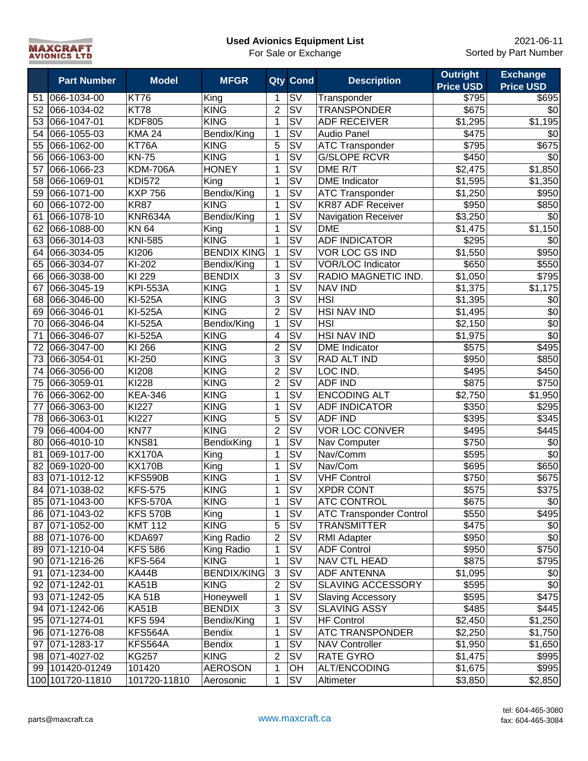

|    | <b>Part Number</b> | <b>Model</b>    | <b>MFGR</b>        |                | <b>Qty Cond</b>                              | <b>Description</b>             | <b>Outright</b><br><b>Price USD</b> | <b>Exchange</b><br><b>Price USD</b> |
|----|--------------------|-----------------|--------------------|----------------|----------------------------------------------|--------------------------------|-------------------------------------|-------------------------------------|
| 51 | 066-1034-00        | <b>KT76</b>     | King               | 1              | SV                                           | Transponder                    | \$795                               | \$695                               |
| 52 | 066-1034-02        | <b>KT78</b>     | <b>KING</b>        | $\overline{2}$ | SV                                           | <b>TRANSPONDER</b>             | \$675                               | \$0                                 |
| 53 | 066-1047-01        | <b>KDF805</b>   | <b>KING</b>        | $\mathbf{1}$   | $\overline{\mathsf{S}\mathsf{V}}$            | <b>ADF RECEIVER</b>            | \$1,295                             | \$1,195                             |
| 54 | 066-1055-03        | <b>KMA 24</b>   | Bendix/King        | 1              | $\overline{\mathsf{S}\mathsf{V}}$            | <b>Audio Panel</b>             | \$475                               | \$0                                 |
| 55 | 066-1062-00        | KT76A           | <b>KING</b>        | $\overline{5}$ | $\overline{\mathsf{S}\mathsf{V}}$            | <b>ATC Transponder</b>         | \$795                               | \$675                               |
| 56 | 066-1063-00        | <b>KN-75</b>    | <b>KING</b>        | 1              | $\overline{\mathsf{S}}\overline{\mathsf{V}}$ | <b>G/SLOPE RCVR</b>            | \$450                               | $\sqrt{6}$                          |
| 57 | 066-1066-23        | <b>KDM-706A</b> | <b>HONEY</b>       | 1              | $\overline{\mathsf{sv}}$                     | DME R/T                        | \$2,475                             | $\overline{$}1,850$                 |
| 58 | 066-1069-01        | <b>KDI572</b>   | King               | 1              | $\overline{\mathsf{S}\mathsf{V}}$            | <b>DME</b> Indicator           | \$1,595                             | \$1,350                             |
| 59 | 066-1071-00        | <b>KXP 756</b>  | Bendix/King        | 1              | $\overline{\mathsf{S}\mathsf{V}}$            | <b>ATC Transponder</b>         | \$1,250                             | \$950                               |
| 60 | 066-1072-00        | <b>KR87</b>     | <b>KING</b>        | 1              | $\overline{\mathsf{S}\mathsf{V}}$            | <b>KR87 ADF Receiver</b>       | \$950                               | \$850                               |
| 61 | 066-1078-10        | KNR634A         | Bendix/King        | $\mathbf 1$    | $\overline{\mathsf{S}}\mathsf{V}$            | <b>Navigation Receiver</b>     | \$3,250                             | \$0                                 |
| 62 | 066-1088-00        | <b>KN 64</b>    | King               | 1              | SV                                           | <b>DME</b>                     | \$1,475                             | \$1,150                             |
| 63 | 066-3014-03        | <b>KNI-585</b>  | <b>KING</b>        | 1              | $\overline{\mathsf{S}\mathsf{V}}$            | <b>ADF INDICATOR</b>           | \$295                               | \$0                                 |
| 64 | 066-3034-05        | KI206           | <b>BENDIX KING</b> | 1              | <b>SV</b>                                    | VOR LOC GS IND                 | \$1,550                             | \$950                               |
| 65 | 066-3034-07        | KI-202          | Bendix/King        | $\mathbf{1}$   | SV                                           | <b>VOR/LOC Indicator</b>       | \$650                               | \$550                               |
| 66 | 066-3038-00        | KI 229          | <b>BENDIX</b>      | 3              | <b>SV</b>                                    | RADIO MAGNETIC IND.            | \$1,050                             | \$795                               |
| 67 | 066-3045-19        | <b>KPI-553A</b> | <b>KING</b>        | 1              | SV                                           | <b>NAV IND</b>                 | \$1,375                             | \$1,175                             |
| 68 | 066-3046-00        | <b>KI-525A</b>  | <b>KING</b>        | 3              | <b>SV</b>                                    | <b>HSI</b>                     | \$1,395                             | \$0                                 |
| 69 | 066-3046-01        | <b>KI-525A</b>  | <b>KING</b>        | $\overline{2}$ | <b>SV</b>                                    | <b>HSI NAV IND</b>             | \$1,495                             | \$0                                 |
| 70 | 066-3046-04        | <b>KI-525A</b>  | Bendix/King        | $\mathbf 1$    | SV                                           | <b>HSI</b>                     | \$2,150                             | \$0                                 |
| 71 | 066-3046-07        | <b>KI-525A</b>  | <b>KING</b>        | 4              | SV                                           | <b>HSI NAV IND</b>             | \$1,975                             | \$0                                 |
| 72 | 066-3047-00        | KI 266          | <b>KING</b>        | $\overline{2}$ | $\overline{\mathsf{S}\mathsf{V}}$            | <b>DME</b> Indicator           | \$575                               | \$495                               |
| 73 | 066-3054-01        | KI-250          | <b>KING</b>        | 3              | SV                                           | RAD ALT IND                    | \$950                               | \$850                               |
| 74 | 066-3056-00        | KI208           | <b>KING</b>        | $\overline{2}$ | $\overline{\mathsf{S}\mathsf{V}}$            | LOC IND.                       | \$495                               | \$450                               |
| 75 | 066-3059-01        | <b>KI228</b>    | <b>KING</b>        | $\overline{2}$ | $\overline{\mathsf{S}}\mathsf{V}$            | <b>ADF IND</b>                 | \$875                               | \$750                               |
| 76 | 066-3062-00        | <b>KEA-346</b>  | <b>KING</b>        | $\mathbf 1$    | $\overline{\mathsf{sv}}$                     | <b>ENCODING ALT</b>            | $\overline{$}2,750$                 | $\overline{$}1,950$                 |
| 77 | 066-3063-00        | KI227           | <b>KING</b>        | 1              | $\overline{\mathsf{S}\mathsf{V}}$            | <b>ADF INDICATOR</b>           | \$350                               | \$295                               |
| 78 | 066-3063-01        | <b>KI227</b>    | <b>KING</b>        | 5              | $\overline{\mathsf{S}\mathsf{V}}$            | <b>ADF IND</b>                 | \$395                               | \$345                               |
| 79 | 066-4004-00        | <b>KN77</b>     | <b>KING</b>        | $\overline{2}$ | $\overline{\text{SV}}$                       | <b>VOR LOC CONVER</b>          | \$495                               | \$445                               |
| 80 | 066-4010-10        | <b>KNS81</b>    | BendixKing         | $\mathbf 1$    | $\overline{\mathsf{S}\mathsf{V}}$            | Nav Computer                   | \$750                               | $\sqrt{6}$                          |
| 81 | 069-1017-00        | <b>KX170A</b>   | King               | 1              | $\overline{\mathsf{S}\mathsf{V}}$            | Nav/Comm                       | \$595                               | $\overline{30}$                     |
| 82 | 069-1020-00        | <b>KX170B</b>   | King               | 1              | $\overline{\mathsf{S}}\overline{\mathsf{V}}$ | Nav/Com                        | \$695                               | \$650                               |
| 83 | 071-1012-12        | KFS590B         | <b>KING</b>        | 1              | <b>SV</b>                                    | <b>VHF Control</b>             | \$750                               | \$675                               |
| 84 | 071-1038-02        | <b>KFS-575</b>  | <b>KING</b>        | 1              | SV                                           | <b>XPDR CONT</b>               | \$575                               | \$375                               |
|    | 85 071-1043-00     | <b>KFS-570A</b> | <b>KING</b>        | 1              | <b>SV</b>                                    | <b>ATC CONTROL</b>             | \$675                               | \$0                                 |
|    | 86 071-1043-02     | <b>KFS 570B</b> | King               | $\mathbf{1}$   | SV                                           | <b>ATC Transponder Control</b> | \$550                               | \$495                               |
| 87 | 071-1052-00        | <b>KMT 112</b>  | <b>KING</b>        | 5              | SV                                           | <b>TRANSMITTER</b>             | \$475                               | \$0                                 |
| 88 | 071-1076-00        | <b>KDA697</b>   | King Radio         | $\overline{2}$ | SV                                           | <b>RMI Adapter</b>             | \$950                               | \$0                                 |
| 89 | 071-1210-04        | <b>KFS 586</b>  | King Radio         | 1              | SV                                           | <b>ADF Control</b>             | \$950                               | \$750                               |
| 90 | 071-1216-26        | <b>KFS-564</b>  | <b>KING</b>        | 1              | SV                                           | NAV CTL HEAD                   | \$875                               | \$795                               |
| 91 | 071-1234-00        | KA44B           | <b>BENDIX/KING</b> | $\sqrt{3}$     | SV                                           | <b>ADF ANTENNA</b>             | \$1,095                             | \$0                                 |
| 92 | 071-1242-01        | KA51B           | <b>KING</b>        | $\overline{2}$ | <b>SV</b>                                    | SLAVING ACCESSORY              | \$595                               | \$0                                 |
| 93 | 071-1242-05        | <b>KA 51B</b>   | Honeywell          | 1              | SV                                           | <b>Slaving Accessory</b>       | \$595                               | \$475                               |
| 94 | 071-1242-06        | KA51B           | <b>BENDIX</b>      | 3              | SV                                           | <b>SLAVING ASSY</b>            | \$485                               | \$445                               |
| 95 | 071-1274-01        | <b>KFS 594</b>  | Bendix/King        | $\mathbf 1$    | SV                                           | <b>HF Control</b>              | \$2,450                             | \$1,250                             |
| 96 | 071-1276-08        | KFS564A         | <b>Bendix</b>      | 1              | SV                                           | <b>ATC TRANSPONDER</b>         | \$2,250                             | \$1,750                             |
| 97 | 071-1283-17        | KFS564A         | <b>Bendix</b>      | 1              | SV                                           | <b>NAV Controller</b>          | \$1,950                             | \$1,650                             |
| 98 | 071-4027-02        | <b>KG257</b>    | <b>KING</b>        | $\overline{2}$ | <b>SV</b>                                    | <b>RATE GYRO</b>               | \$1,475                             | \$995                               |
|    | 99 101420-01249    | 101420          | <b>AEROSON</b>     | 1              | OH                                           | <b>ALT/ENCODING</b>            | \$1,675                             | \$995                               |
|    | 100 101720-11810   | 101720-11810    | Aerosonic          | 1              | <b>SV</b>                                    | Altimeter                      | \$3,850                             | \$2,850                             |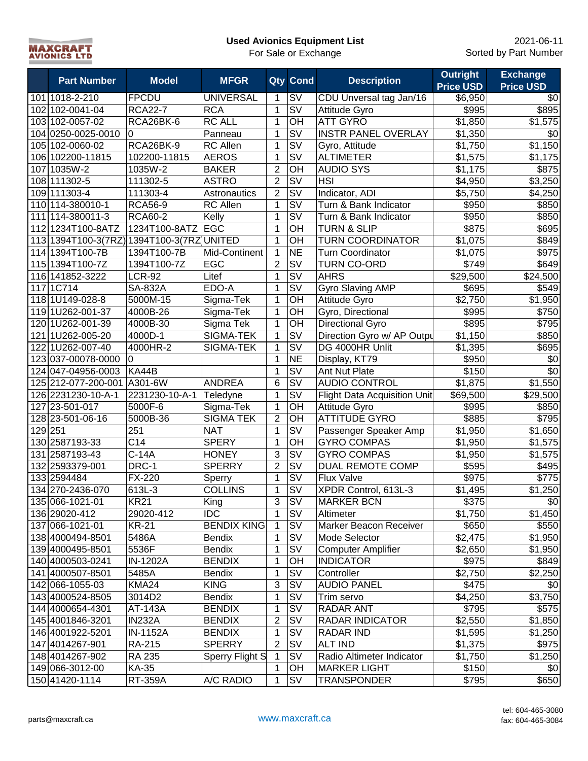| <b>MAXCRAFT</b>     |  |
|---------------------|--|
| <b>AVIONICS LTD</b> |  |

ă.

# **Used Avionics Equipment List**

| <b>Part Number</b>                        | <b>Model</b>     | <b>MFGR</b>        |                  | <b>Qty Cond</b>                   | <b>Description</b>                  | <b>Outright</b><br><b>Price USD</b> | <b>Exchange</b><br><b>Price USD</b> |
|-------------------------------------------|------------------|--------------------|------------------|-----------------------------------|-------------------------------------|-------------------------------------|-------------------------------------|
| 101 1018-2-210                            | <b>FPCDU</b>     | <b>UNIVERSAL</b>   | 1                | SV                                | CDU Unversal tag Jan/16             | \$6,950                             | \$0                                 |
| 102 102-0041-04                           | <b>RCA22-7</b>   | <b>RCA</b>         | 1                | SV                                | Attitude Gyro                       | \$995                               | \$895                               |
| 103 102-0057-02                           | RCA26BK-6        | <b>RC ALL</b>      | 1                | OH                                | <b>ATT GYRO</b>                     | $\overline{$}1,850$                 | \$1,575                             |
| 104 0250-0025-0010                        | 0                | Panneau            | 1                | SV                                | <b>INSTR PANEL OVERLAY</b>          | \$1,350                             | \$0                                 |
| 105 102-0060-02                           | RCA26BK-9        | <b>RC Allen</b>    | 1                | SV                                | Gyro, Attitude                      | \$1,750                             | $\overline{$}1,150$                 |
| 106 102200-11815                          | 102200-11815     | <b>AEROS</b>       | 1                | SV                                | <b>ALTIMETER</b>                    | \$1,575                             | \$1,175                             |
| 107 1035W-2                               | 1035W-2          | <b>BAKER</b>       | $\overline{2}$   | $\overline{OH}$                   | <b>AUDIO SYS</b>                    | \$1,175                             | \$875                               |
| 108 111302-5                              | 111302-5         | <b>ASTRO</b>       | $\overline{2}$   | $\overline{\mathsf{sv}}$          | <b>HSI</b>                          | \$4,950                             | $\overline{$3,250}$                 |
| 109 111303-4                              | 111303-4         | Astronautics       | $\overline{2}$   | $\overline{\mathsf{S}\mathsf{V}}$ | Indicator, ADI                      | \$5,750                             | \$4,250                             |
| 110 114-380010-1                          | <b>RCA56-9</b>   | <b>RC Allen</b>    | 1                | $\overline{\mathsf{S}\mathsf{V}}$ | Turn & Bank Indicator               | \$950                               | \$850                               |
| 111 114-380011-3                          | <b>RCA60-2</b>   | Kelly              | 1                | SV                                | Turn & Bank Indicator               | \$950                               | \$850                               |
| 112 1234T100-8ATZ                         | 1234T100-8ATZ    | EGC                | 1                | OH                                | <b>TURN &amp; SLIP</b>              | \$875                               | \$695                               |
| 113 1394T100-3(7RZ) 1394T100-3(7RZ UNITED |                  |                    | $\mathbf{1}$     | OH                                | <b>TURN COORDINATOR</b>             | \$1,075                             | \$849                               |
| 114 1394T100-7B                           | 1394T100-7B      | Mid-Continent      | 1                | <b>NE</b>                         | <b>Turn Coordinator</b>             | \$1,075                             | \$975                               |
| 115 1394T100-7Z                           | 1394T100-7Z      | EGC                | $\overline{2}$   | <b>SV</b>                         | <b>TURN CO-ORD</b>                  | \$749                               | \$649                               |
| 116 141852-3222                           | <b>LCR-92</b>    | Litef              | 1                | <b>SV</b>                         | <b>AHRS</b>                         | \$29,500                            | \$24,500                            |
| 117 1C714                                 | <b>SA-832A</b>   | EDO-A              | 1                | <b>SV</b>                         | Gyro Slaving AMP                    | \$695                               | \$549                               |
| 1181U149-028-8                            | 5000M-15         | Sigma-Tek          | 1                | OH                                | Attitude Gyro                       | \$2,750                             | \$1,950                             |
| 1191U262-001-37                           | 4000B-26         | Sigma-Tek          | 1                | OH                                | Gyro, Directional                   | \$995                               | \$750                               |
| 120 1U262-001-39                          | 4000B-30         | Sigma Tek          | 1                | OH                                | <b>Directional Gyro</b>             | \$895                               | \$795                               |
| 121 1U262-005-20                          | 4000D-1          | SIGMA-TEK          | $\mathbf{1}$     | SV                                | Direction Gyro w/ AP Outpu          | \$1,150                             | \$850                               |
| 122 1U262-007-40                          | 4000HR-2         | SIGMA-TEK          | 1                | SV                                | DG 4000HR Unlit                     | \$1,395                             | \$695                               |
| 123 037-00078-0000                        | 0                |                    | $\mathbf{1}$     | <b>NE</b>                         | Display, KT79                       | \$950                               | \$0                                 |
| 124 047-04956-0003                        | KA44B            |                    | $\mathbf{1}$     | $\overline{\mathsf{S}\mathsf{V}}$ | Ant Nut Plate                       | \$150                               | \$0                                 |
| 125 212-077-200-001                       | A301-6W          | <b>ANDREA</b>      | $6\phantom{1}$   | $\overline{\mathsf{S}\mathsf{V}}$ | <b>AUDIO CONTROL</b>                | \$1,875                             | \$1,550                             |
| 126 2231230-10-A-1                        | 2231230-10-A-1   | Teledyne           | 1                | $\overline{\mathsf{S}}\mathsf{V}$ | <b>Flight Data Acquisition Unit</b> | \$69,500                            | \$29,500                            |
| 127 23-501-017                            | 5000F-6          | Sigma-Tek          | 1                | OH                                | Attitude Gyro                       | \$995                               | \$850                               |
| 128 23-501-06-16                          | 5000B-36         | <b>SIGMA TEK</b>   | $\overline{2}$   | $\overline{CH}$                   | <b>ATTITUDE GYRO</b>                | \$885                               | \$795                               |
| 129 251                                   | 251              | <b>NAT</b>         | 1                | $\overline{\mathsf{SV}}$          | Passenger Speaker Amp               | \$1,950                             | \$1,650                             |
| 130 2587193-33                            | $\overline{C14}$ | <b>SPERY</b>       | $\mathbf{1}$     | OH                                | <b>GYRO COMPAS</b>                  | \$1,950                             | \$1,575                             |
| 131 2587193-43                            | $C-14A$          | <b>HONEY</b>       | 3                | $\overline{\mathsf{S}\mathsf{V}}$ | <b>GYRO COMPAS</b>                  | \$1,950                             | \$1,575                             |
| 132 2593379-001                           | DRC-1            | <b>SPERRY</b>      | $\overline{2}$   | $\overline{\mathsf{SV}}$          | DUAL REMOTE COMP                    | \$595                               | \$495                               |
| 133 2594484                               | FX-220           | Sperry             | 1                | $\overline{\mathsf{S}\mathsf{V}}$ | Flux Valve                          | \$975                               | \$775                               |
| 134 270-2436-070                          | 613L-3           | <b>COLLINS</b>     | $\mathbf{1}$     | $\overline{\mathsf{S}\mathsf{V}}$ | XPDR Control, 613L-3                | \$1,495                             | \$1,250                             |
| 135 066-1021-01                           | <b>KR21</b>      | King               | 3                | <b>SV</b>                         | <b>MARKER BCN</b>                   | \$375                               | \$0                                 |
| 136 29020-412                             | 29020-412        | <b>IDC</b>         | $\mathbf{1}$     | <b>SV</b>                         | Altimeter                           | \$1,750                             | \$1,450                             |
| 137 066-1021-01                           | <b>KR-21</b>     | <b>BENDIX KING</b> | 1                | <b>SV</b>                         | Marker Beacon Receiver              | \$650                               | \$550                               |
| 138 4000494-8501                          | 5486A            | <b>Bendix</b>      | 1                | <b>SV</b>                         | Mode Selector                       | \$2,475                             | \$1,950                             |
| 139 4000495-8501                          | 5536F            | <b>Bendix</b>      | 1                | SV                                | <b>Computer Amplifier</b>           | \$2,650                             | \$1,950                             |
| 140 4000503-0241                          | IN-1202A         | <b>BENDIX</b>      | 1                | OH                                | <b>INDICATOR</b>                    | \$975                               | \$849                               |
| 141 4000507-8501                          | 5485A            | <b>Bendix</b>      | 1                | <b>SV</b>                         | Controller                          | \$2,750                             | \$2,250                             |
| 142 066-1055-03                           | KMA24            | <b>KING</b>        | 3                | <b>SV</b>                         | <b>AUDIO PANEL</b>                  | \$475                               | \$0                                 |
| 143 4000524-8505                          | 3014D2           | <b>Bendix</b>      | 1                | <b>SV</b>                         | Trim servo                          | \$4,250                             | \$3,750                             |
| 144 4000654-4301                          | AT-143A          | <b>BENDIX</b>      | 1                | <b>SV</b>                         | <b>RADAR ANT</b>                    | \$795                               | \$575                               |
| 145 4001846-3201                          | <b>IN232A</b>    | <b>BENDIX</b>      | $\overline{2}$   | <b>SV</b>                         | RADAR INDICATOR                     | \$2,550                             | \$1,850                             |
| 146 4001922-5201                          | IN-1152A         | <b>BENDIX</b>      | 1                | SV                                | RADAR IND                           | \$1,595                             | \$1,250                             |
| 147 4014267-901                           | RA-215           | <b>SPERRY</b>      | $\boldsymbol{2}$ | SV                                | <b>ALT IND</b>                      | \$1,375                             | \$975                               |
| 148 4014267-902                           | RA 235           | Sperry Flight S    | $\mathbf{1}$     | SV                                | Radio Altimeter Indicator           | \$1,750                             | \$1,250                             |
| 149 066-3012-00                           | KA-35            |                    | 1                | ОH<br><b>SV</b>                   | <b>MARKER LIGHT</b>                 | \$150                               | \$0                                 |
| 150 41420-1114                            | <b>RT-359A</b>   | A/C RADIO          | $\mathbf 1$      |                                   | <b>TRANSPONDER</b>                  | \$795                               | \$650                               |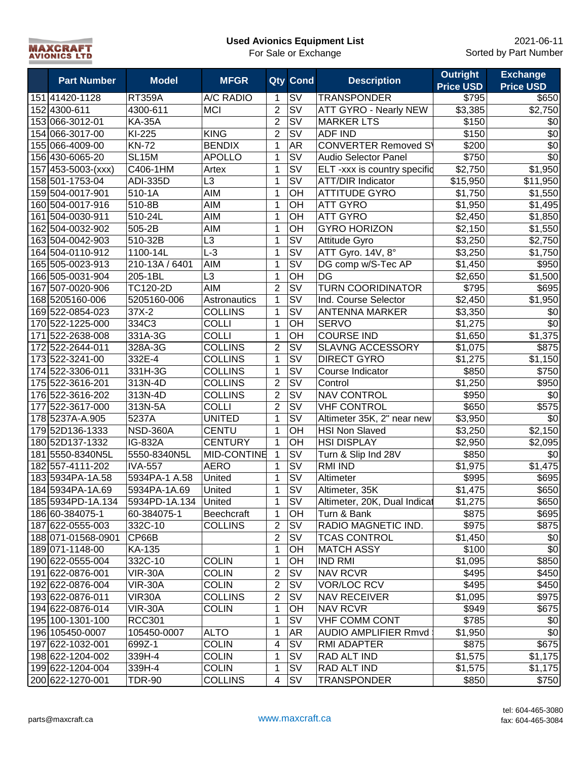| <b>MAXCRAFT</b>     |  |
|---------------------|--|
| <b>AVIONICS LTD</b> |  |
|                     |  |

|     | <b>Part Number</b>  | <b>Model</b>    | <b>MFGR</b>        |                | Qty Cond                          | <b>Description</b>           | <b>Outright</b><br><b>Price USD</b> | <b>Exchange</b><br><b>Price USD</b> |
|-----|---------------------|-----------------|--------------------|----------------|-----------------------------------|------------------------------|-------------------------------------|-------------------------------------|
|     | 151 41420-1128      | <b>RT359A</b>   | A/C RADIO          | 1              | SV                                | <b>TRANSPONDER</b>           | \$795                               | \$650                               |
|     | 152 4300-611        | 4300-611        | <b>MCI</b>         | $\overline{2}$ | $\overline{\mathsf{S}}\mathsf{V}$ | <b>ATT GYRO - Nearly NEW</b> | \$3,385                             | \$2,750                             |
|     | 153 066-3012-01     | <b>KA-35A</b>   |                    | $\overline{2}$ | $\overline{\mathsf{S}}\mathsf{V}$ | <b>MARKER LTS</b>            | \$150                               | \$0                                 |
|     | 154 066-3017-00     | KI-225          | <b>KING</b>        | $\overline{2}$ | $\overline{\mathsf{S}}\mathsf{V}$ | <b>ADF IND</b>               | \$150                               | \$0                                 |
|     | 155 066-4009-00     | <b>KN-72</b>    | <b>BENDIX</b>      | $\mathbf{1}$   | <b>AR</b>                         | <b>CONVERTER Removed SY</b>  | \$200                               | \$0                                 |
|     | 156 430-6065-20     | <b>SL15M</b>    | <b>APOLLO</b>      | 1              | $\overline{\mathsf{SV}}$          | <b>Audio Selector Panel</b>  | \$750                               | $\sqrt{6}$                          |
|     | 157 453-5003-(xxx)  | C406-1HM        | Artex              | 1              | $\overline{\mathsf{S}\mathsf{V}}$ | ELT -xxx is country specific | \$2,750                             | \$1,950                             |
|     | 158 501 - 1753 - 04 | ADI-335D        | $\overline{L3}$    | 1              | $\overline{\mathsf{S}\mathsf{V}}$ | <b>ATT/DIR Indicator</b>     | \$15,950                            | \$11,950                            |
|     | 159 504-0017-901    | 510-1A          | <b>AIM</b>         | $\mathbf{1}$   | OH                                | <b>ATTITUDE GYRO</b>         | \$1,750                             | \$1,550                             |
|     | 160 504-0017-916    | 510-8B          | <b>AIM</b>         | $\mathbf{1}$   | OH                                | <b>ATT GYRO</b>              | \$1,950                             | \$1,495                             |
|     | 161 504-0030-911    | 510-24L         | <b>AIM</b>         | 1              | $\overline{O}$ H                  | <b>ATT GYRO</b>              | \$2,450                             | \$1,850                             |
|     | 162 504-0032-902    | 505-2B          | <b>AIM</b>         | $\mathbf{1}$   | OH                                | <b>GYRO HORIZON</b>          | \$2,150                             | \$1,550                             |
|     | 163 504-0042-903    | 510-32B         | L3                 | $\mathbf{1}$   | $\overline{\mathsf{S}}\mathsf{V}$ | Attitude Gyro                | \$3,250                             | \$2,750                             |
|     | 164 504-0110-912    | 1100-14L        | $L-3$              | 1              | $\overline{\mathsf{S}\mathsf{V}}$ | ATT Gyro. 14V, 8°            | \$3,250                             | \$1,750                             |
|     | 165 505-0023-913    | 210-13A / 6401  | <b>AIM</b>         | 1              | $\overline{\mathsf{S}\mathsf{V}}$ | DG comp w/S-Tec AP           | \$1,450                             | \$950                               |
|     | 166 505-0031-904    | 205-1BL         | L3                 | 1              | OH                                | DG                           | \$2,650                             | \$1,500                             |
|     | 167 507-0020-906    | TC120-2D        | <b>AIM</b>         | $\overline{2}$ | <b>SV</b>                         | <b>TURN COORIDINATOR</b>     | \$795                               | \$695                               |
|     | 168 5205160-006     | 5205160-006     | Astronautics       | $\mathbf{1}$   | <b>SV</b>                         | Ind. Course Selector         | \$2,450                             | \$1,950                             |
|     | 169 522-0854-023    | 37X-2           | <b>COLLINS</b>     | $\mathbf{1}$   | SV                                | <b>ANTENNA MARKER</b>        | \$3,350                             | \$0                                 |
|     | 170 522-1225-000    | 334C3           | <b>COLLI</b>       | $\mathbf{1}$   | OH                                | <b>SERVO</b>                 | \$1,275                             | \$0                                 |
| 171 | 522-2638-008        | 331A-3G         | <b>COLLI</b>       | $\mathbf{1}$   | OH                                | <b>COURSE IND</b>            | \$1,650                             | \$1,375                             |
|     | 172 522-2644-011    | 328A-3G         | <b>COLLINS</b>     | $\overline{c}$ | $\overline{\mathsf{S}\mathsf{V}}$ | <b>SLAVNG ACCESSORY</b>      | \$1,075                             | \$875                               |
|     | 173522-3241-00      | 332E-4          | <b>COLLINS</b>     | $\mathbf{1}$   | $\overline{\mathsf{S}}\mathsf{V}$ | <b>DIRECT GYRO</b>           | \$1,275                             | \$1,150                             |
|     | 174 522-3306-011    | 331H-3G         | <b>COLLINS</b>     | $\mathbf{1}$   | $\overline{\mathsf{S}\mathsf{V}}$ | Course Indicator             | \$850                               | \$750                               |
|     | 175 522-3616-201    | 313N-4D         | <b>COLLINS</b>     | $\overline{2}$ | $\overline{\mathsf{S}}\mathsf{V}$ | Control                      | \$1,250                             | \$950                               |
|     | 176 522-3616-202    | 313N-4D         | <b>COLLINS</b>     | $\overline{2}$ | $\overline{\mathsf{S}}\mathsf{V}$ | <b>NAV CONTROL</b>           | \$950                               | \$0                                 |
|     | 177 522-3617-000    | 313N-5A         | <b>COLLI</b>       | $\overline{2}$ | $\overline{\mathsf{S}\mathsf{V}}$ | <b>VHF CONTROL</b>           | $\frac{1}{6650}$                    | \$575                               |
|     | 178 5237A-A.905     | 5237A           | <b>UNITED</b>      | $\mathbf{1}$   | $\overline{\mathsf{S}\mathsf{V}}$ | Altimeter 35K, 2" near new   | \$3,950                             | \$0                                 |
|     | 179 52D136-1333     | <b>NSD-360A</b> | <b>CENTU</b>       | $\mathbf{1}$   | $\overline{O}$ H                  | <b>HSI Non Slaved</b>        | \$3,250                             | $\overline{$}2,150$                 |
|     | 180 52D137-1332     | <b>IG-832A</b>  | <b>CENTURY</b>     | 1              | OH                                | <b>HSI DISPLAY</b>           | \$2,950                             | \$2,095                             |
|     | 181 5550-8340N5L    | 5550-8340N5L    | <b>MID-CONTINE</b> | 1              | $\overline{\mathsf{S}\mathsf{V}}$ | Turn & Slip Ind 28V          | \$850                               | \$0                                 |
|     | 182 557-4111-202    | <b>IVA-557</b>  | <b>AERO</b>        | 1              | SV                                | RMI IND                      | \$1,975                             | \$1,475                             |
|     | 183 5934PA-1A.58    | 5934PA-1 A.58   | United             | 1              | $\overline{\mathsf{S}}\mathsf{V}$ | Altimeter                    | \$995                               | \$695                               |
|     | 184 5934PA-1A.69    | 5934PA-1A.69    | United             | $\mathbf 1$    | $\overline{\mathsf{S}}\mathsf{V}$ | Altimeter, 35K               | \$1,475                             | \$650                               |
|     | 185 5934PD-1A.134   | 5934PD-1A.134   | United             | 1              | <b>SV</b>                         | Altimeter, 20K, Dual Indicat | \$1,275                             | \$650                               |
|     | 186 60-384075-1     | 60-384075-1     | <b>Beechcraft</b>  | 1              | OH                                | Turn & Bank                  | \$875                               | \$695                               |
|     | 187 622-0555-003    | 332C-10         | <b>COLLINS</b>     | $\overline{2}$ | <b>SV</b>                         | RADIO MAGNETIC IND.          | \$975                               | \$875                               |
|     | 188 071-01568-0901  | CP66B           |                    | $\overline{2}$ | <b>SV</b>                         | <b>TCAS CONTROL</b>          | \$1,450                             | \$0                                 |
|     | 189 071-1148-00     | KA-135          |                    | $\mathbf{1}$   | OH                                | <b>MATCH ASSY</b>            | \$100                               | \$0                                 |
|     | 190 622-0555-004    | 332C-10         | <b>COLIN</b>       | $\mathbf{1}$   | OH                                | <b>IND RMI</b>               | \$1,095                             | \$850                               |
|     | 191 622-0876-001    | <b>VIR-30A</b>  | <b>COLIN</b>       | $\overline{2}$ | <b>SV</b>                         | <b>NAV RCVR</b>              | \$495                               | \$450                               |
|     | 192 622-0876-004    | <b>VIR-30A</b>  | <b>COLIN</b>       | $\overline{2}$ | <b>SV</b>                         | <b>VOR/LOC RCV</b>           | \$495                               | \$450                               |
|     | 193 622-0876-011    | VIR30A          | <b>COLLINS</b>     | $\overline{2}$ | <b>SV</b>                         | <b>NAV RECEIVER</b>          | \$1,095                             | \$975                               |
|     | 194 622-0876-014    | <b>VIR-30A</b>  | <b>COLIN</b>       | $\mathbf{1}$   | OH                                | <b>NAV RCVR</b>              | \$949                               | \$675                               |
|     | 195 100-1301-100    | <b>RCC301</b>   |                    | $\mathbf{1}$   | SV                                | <b>VHF COMM CONT</b>         | \$785                               | \$0                                 |
|     | 196 105450-0007     | 105450-0007     | <b>ALTO</b>        | 1              | AR                                | <b>AUDIO AMPLIFIER Rmvd</b>  | \$1,950                             | \$0                                 |
|     | 197 622-1032-001    | 699Z-1          | <b>COLIN</b>       | $\overline{4}$ | SV                                | <b>RMI ADAPTER</b>           | \$875                               | \$675                               |
|     | 198 622-1204-002    | 339H-4          | <b>COLIN</b>       | 1              | SV                                | RAD ALT IND                  | \$1,575                             | \$1,175                             |
|     | 199 622-1204-004    | 339H-4          | <b>COLIN</b>       | $\mathbf 1$    | <b>SV</b>                         | RAD ALT IND                  | \$1,575                             | \$1,175                             |
|     | 200 622-1270-001    | <b>TDR-90</b>   | <b>COLLINS</b>     | 4              | <b>SV</b>                         | <b>TRANSPONDER</b>           | \$850                               | \$750                               |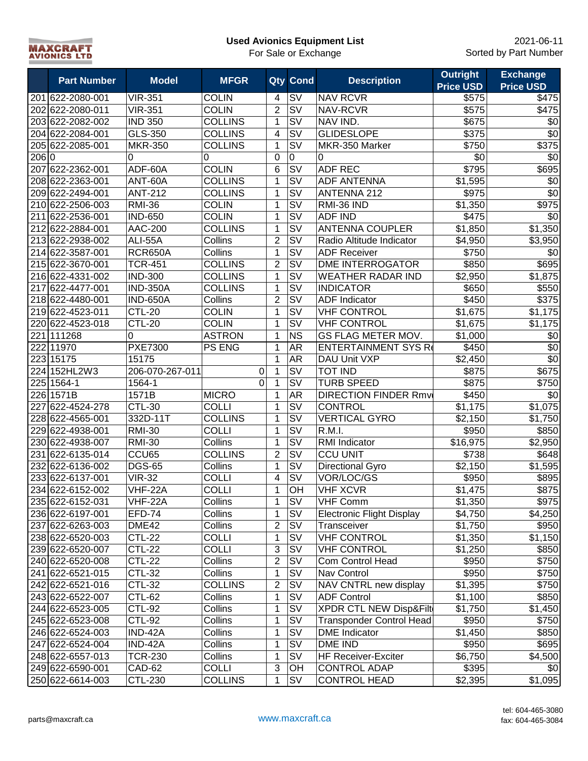| <b>MAXCRAFT</b>     |  |
|---------------------|--|
| <b>AVIONICS LTD</b> |  |

|      | <b>Part Number</b> | <b>Model</b>    | <b>MFGR</b>    |                         | Qty Cond                          | <b>Description</b>                | <b>Outright</b><br><b>Price USD</b> | <b>Exchange</b><br><b>Price USD</b> |
|------|--------------------|-----------------|----------------|-------------------------|-----------------------------------|-----------------------------------|-------------------------------------|-------------------------------------|
|      | 201 622-2080-001   | <b>VIR-351</b>  | <b>COLIN</b>   | 4                       | SV                                | <b>NAV RCVR</b>                   | \$575                               | \$475                               |
|      | 202 622-2080-011   | <b>VIR-351</b>  | <b>COLIN</b>   | $\overline{2}$          | $\overline{\mathsf{S}}\mathsf{V}$ | NAV-RCVR                          | $\overline{$}575$                   | \$475                               |
|      | 203 622-2082-002   | <b>IND 350</b>  | <b>COLLINS</b> | $\mathbf{1}$            | <b>SV</b>                         | NAV IND.                          | \$675                               | \$0                                 |
|      | 204 622-2084-001   | GLS-350         | <b>COLLINS</b> | $\overline{\mathbf{4}}$ | SV                                | <b>GLIDESLOPE</b>                 | \$375                               | \$0                                 |
|      | 205 622-2085-001   | <b>MKR-350</b>  | <b>COLLINS</b> | $\mathbf{1}$            | $\overline{\mathsf{S}\mathsf{V}}$ | MKR-350 Marker                    | \$750                               | \$375                               |
| 2060 |                    | 0               | 0              | 0                       | 0                                 | 0                                 | \$0                                 | $\sqrt{6}$                          |
|      | 207 622-2362-001   | ADF-60A         | <b>COLIN</b>   | 6                       | $\overline{\mathsf{sv}}$          | <b>ADF REC</b>                    | \$795                               | \$695                               |
|      | 208 622-2363-001   | ANT-60A         | <b>COLLINS</b> | 1                       | $\overline{\mathsf{S}}\mathsf{V}$ | <b>ADF ANTENNA</b>                | \$1,595                             | \$0                                 |
|      | 209 622-2494-001   | <b>ANT-212</b>  | <b>COLLINS</b> | 1                       | $\overline{\mathsf{S}\mathsf{V}}$ | <b>ANTENNA 212</b>                | \$975                               | $\overline{30}$                     |
|      | 210 622-2506-003   | <b>RMI-36</b>   | <b>COLIN</b>   | 1                       | $\overline{\mathsf{S}}\mathsf{V}$ | RMI-36 IND                        | \$1,350                             | $\overline{$975}$                   |
| 211  | 622-2536-001       | <b>IND-650</b>  | <b>COLIN</b>   | 1                       | $\overline{\mathsf{S}}\mathsf{V}$ | <b>ADF IND</b>                    | \$475                               | \$0                                 |
|      | 212 622-2884-001   | <b>AAC-200</b>  | <b>COLLINS</b> | 1                       | $\overline{\mathsf{S}}\mathsf{V}$ | <b>ANTENNA COUPLER</b>            | \$1,850                             | \$1,350                             |
|      | 213 622-2938-002   | ALI-55A         | Collins        | $\overline{2}$          | $\overline{\mathsf{S}\mathsf{V}}$ | Radio Altitude Indicator          | \$4,950                             | \$3,950                             |
|      | 214 622-3587-001   | <b>RCR650A</b>  | Collins        | 1                       | $\overline{\mathsf{S}\mathsf{V}}$ | <b>ADF Receiver</b>               | \$750                               | \$0                                 |
|      | 215 622-3670-001   | <b>TCR-451</b>  | <b>COLLINS</b> | $\overline{2}$          | $\overline{\mathsf{S}\mathsf{V}}$ | <b>DME INTERROGATOR</b>           | \$850                               | \$695                               |
|      | 216 622-4331-002   | <b>IND-300</b>  | <b>COLLINS</b> | 1                       | <b>SV</b>                         | <b>WEATHER RADAR IND</b>          | \$2,950                             | \$1,875                             |
| 217  | 622-4477-001       | <b>IND-350A</b> | <b>COLLINS</b> | 1                       | <b>SV</b>                         | <b>INDICATOR</b>                  | \$650                               | \$550                               |
|      | 218 622-4480-001   | <b>IND-650A</b> | Collins        | $\overline{2}$          | <b>SV</b>                         | <b>ADF</b> Indicator              | \$450                               | \$375                               |
|      | 219 622-4523-011   | <b>CTL-20</b>   | <b>COLIN</b>   | $\mathbf{1}$            | SV                                | <b>VHF CONTROL</b>                | \$1,675                             | \$1,175                             |
|      | 220 622-4523-018   | <b>CTL-20</b>   | <b>COLIN</b>   | $\mathbf{1}$            | <b>SV</b>                         | <b>VHF CONTROL</b>                | \$1,675                             | \$1,175                             |
|      | 221111268          | 0               | <b>ASTRON</b>  | $\mathbf{1}$            | <b>NS</b>                         | GS FLAG METER MOV.                | \$1,000                             | \$0                                 |
|      | 22211970           | <b>PXE7300</b>  | <b>PS ENG</b>  | 1                       | <b>AR</b>                         | <b>ENTERTAINMENT SYS Re</b>       | \$450                               | \$0                                 |
|      | 223 15175          | 15175           |                | $\mathbf 1$             | <b>AR</b>                         | DAU Unit VXP                      | \$2,450                             | \$0                                 |
|      | 224 152HL2W3       | 206-070-267-011 | 0              | $\mathbf{1}$            | $\overline{\mathsf{S}\mathsf{V}}$ | <b>TOT IND</b>                    | \$875                               | \$675                               |
|      | 225 1564-1         | 1564-1          | 0              | $\mathbf{1}$            | $\overline{\mathsf{S}}\mathsf{V}$ | <b>TURB SPEED</b>                 | \$875                               | \$750                               |
|      | 226 1571B          | 1571B           | <b>MICRO</b>   | $\mathbf{1}$            | AR                                | <b>DIRECTION FINDER Rmv</b>       | \$450                               | \$0                                 |
| 227  | 622-4524-278       | <b>CTL-30</b>   | <b>COLLI</b>   | 1                       | $\overline{\mathsf{S}\mathsf{V}}$ | <b>CONTROL</b>                    | \$1,175                             | $\overline{$}1,075$                 |
|      | 228 622-4565-001   | 332D-11T        | <b>COLLINS</b> | $\mathbf{1}$            | $\overline{\mathsf{S}\mathsf{V}}$ | <b>VERTICAL GYRO</b>              | \$2,150                             | \$1,750                             |
|      | 229 622-4938-001   | <b>RMI-30</b>   | <b>COLLI</b>   | 1                       | $\overline{\mathsf{sv}}$          | R.M.I.                            | \$950                               | \$850                               |
|      | 230 622-4938-007   | <b>RMI-30</b>   | Collins        | 1                       | $\overline{\mathsf{S}\mathsf{V}}$ | RMI Indicator                     | \$16,975                            | \$2,950                             |
| 231  | 622-6135-014       | CCU65           | <b>COLLINS</b> | $\overline{c}$          | $\overline{\mathsf{sv}}$          | <b>CCU UNIT</b>                   | \$738                               | \$648                               |
| 232  | 622-6136-002       | <b>DGS-65</b>   | Collins        | 1                       | SV                                | Directional Gyro                  | $\overline{$}2,150$                 | \$1,595                             |
|      | 233 622-6137-001   | <b>VIR-32</b>   | <b>COLLI</b>   | $\overline{4}$          | $\overline{\mathsf{S}}\mathsf{V}$ | VOR/LOC/GS                        | \$950                               | \$895                               |
|      | 234 622-6152-002   | VHF-22A         | <b>COLLI</b>   | $\mathbf 1$             | OH                                | <b>VHF XCVR</b>                   | \$1,475                             | \$875                               |
|      | 235 622-6152-031   | VHF-22A         | Collins        | 1                       | <b>SV</b>                         | <b>VHF Comm</b>                   | \$1,350                             | \$975                               |
|      | 236 622-6197-001   | <b>EFD-74</b>   | Collins        | $\mathbf{1}$            | <b>SV</b>                         | <b>Electronic Flight Display</b>  | \$4,750                             | \$4,250                             |
|      | 237 622-6263-003   | DME42           | Collins        | $\overline{c}$          | <b>SV</b>                         | Transceiver                       | \$1,750                             | \$950                               |
|      | 238 622-6520-003   | <b>CTL-22</b>   | <b>COLLI</b>   | 1                       | SV                                | <b>VHF CONTROL</b>                | \$1,350                             | \$1,150                             |
|      | 239 622-6520-007   | <b>CTL-22</b>   | <b>COLLI</b>   | $\overline{3}$          | <b>SV</b>                         | <b>VHF CONTROL</b>                | \$1,250                             | \$850                               |
|      | 240 622-6520-008   | <b>CTL-22</b>   | Collins        | $\overline{2}$          | <b>SV</b>                         | Com Control Head                  | \$950                               | \$750                               |
|      | 241 622-6521-015   | <b>CTL-32</b>   | Collins        | $\mathbf{1}$            | <b>SV</b>                         | Nav Control                       | \$950                               | \$750                               |
|      | 242 622-6521-016   | <b>CTL-32</b>   | <b>COLLINS</b> | $\overline{2}$          | <b>SV</b>                         | NAV CNTRL new display             | \$1,395                             | \$750                               |
|      | 243 622-6522-007   | <b>CTL-62</b>   | Collins        | $\mathbf{1}$            | <b>SV</b>                         | <b>ADF Control</b>                | \$1,100                             | \$850                               |
|      | 244 622-6523-005   | <b>CTL-92</b>   | Collins        | 1                       | <b>SV</b>                         | <b>XPDR CTL NEW Disp&amp;Filt</b> | \$1,750                             | \$1,450                             |
|      | 245 622-6523-008   | <b>CTL-92</b>   | Collins        | 1                       | <b>SV</b>                         | <b>Transponder Control Head</b>   | \$950                               | \$750                               |
|      | 246 622-6524-003   | IND-42A         | Collins        | 1                       | <b>SV</b>                         | <b>DME</b> Indicator              | \$1,450                             | \$850                               |
|      | 247 622-6524-004   | IND-42A         | Collins        | 1                       | SV                                | DME IND                           | \$950                               | \$695                               |
|      | 248 622-6557-013   | <b>TCR-230</b>  | Collins        | 1                       | SV                                | HF Receiver-Exciter               | \$6,750                             | \$4,500                             |
|      | 249 622-6590-001   | CAD-62          | <b>COLLI</b>   | $\sqrt{3}$              | OH                                | <b>CONTROL ADAP</b>               | \$395                               | \$0                                 |
|      | 250 622-6614-003   | <b>CTL-230</b>  | <b>COLLINS</b> | 1                       | <b>SV</b>                         | <b>CONTROL HEAD</b>               | \$2,395                             | \$1,095                             |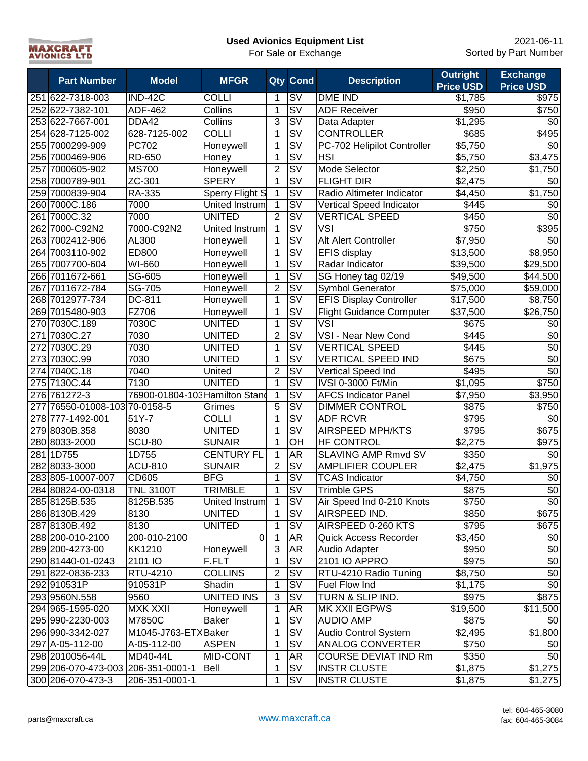

|     | <b>Part Number</b>                 | <b>Model</b>                   | <b>MFGR</b>       |                         | Qty Cond                                     | <b>Description</b>              | <b>Outright</b>     | <b>Exchange</b>  |
|-----|------------------------------------|--------------------------------|-------------------|-------------------------|----------------------------------------------|---------------------------------|---------------------|------------------|
|     |                                    |                                |                   |                         |                                              |                                 | <b>Price USD</b>    | <b>Price USD</b> |
|     | 251 622-7318-003                   | <b>IND-42C</b>                 | <b>COLLI</b>      | 1                       | <b>SV</b>                                    | <b>DME IND</b>                  | \$1,785             | \$975            |
|     | 252 622-7382-101                   | ADF-462                        | Collins           | 1                       | SV                                           | <b>ADF Receiver</b>             | \$950               | \$750            |
|     | 253 622-7667-001                   | DDA42                          | Collins           | 3                       | SV                                           | Data Adapter                    | \$1,295             | \$0              |
|     | 254 628-7125-002                   | 628-7125-002                   | <b>COLLI</b>      | 1                       | SV                                           | <b>CONTROLLER</b>               | \$685               | \$495            |
|     | 255 7000299-909                    | <b>PC702</b>                   | Honeywell         | 1                       | <b>SV</b>                                    | PC-702 Helipilot Controller     | $\overline{$}5,750$ | \$0              |
|     | 256 7000469-906                    | RD-650                         | Honey             | 1                       | $\overline{\mathsf{S}\mathsf{V}}$            | <b>HSI</b>                      | \$5,750             | \$3,475          |
| 257 | 7000605-902                        | <b>MS700</b>                   | Honeywell         | $\overline{2}$          | $\overline{\mathsf{S}\mathsf{V}}$            | <b>Mode Selector</b>            | \$2,250             | \$1,750          |
|     | 258 7000789-901                    | ZC-301                         | <b>SPERY</b>      | 1                       | $\overline{\mathsf{S}\mathsf{V}}$            | <b>FLIGHT DIR</b>               | \$2,475             | \$0              |
|     | 259 7000839-904                    | RA-335                         | Sperry Flight S   |                         | $\overline{\mathsf{sv}}$                     | Radio Altimeter Indicator       | \$4,450             | \$1,750          |
|     | 260 7000C.186                      | 7000                           | United Instrum    | 1                       | <b>SV</b>                                    | Vertical Speed Indicator        | \$445               | \$0              |
| 261 | 7000C.32                           | 7000                           | <b>UNITED</b>     | $\overline{2}$          | $\overline{\mathsf{S}}\mathsf{V}$            | <b>VERTICAL SPEED</b>           | \$450               | $\overline{30}$  |
| 262 | 7000-C92N2                         | 7000-C92N2                     | United Instrum    | 1                       | $\overline{\mathsf{S}}\mathsf{V}$            | <b>VSI</b>                      | \$750               | \$395            |
| 263 | 7002412-906                        | AL300                          | Honeywell         | 1                       | SV                                           | Alt Alert Controller            | \$7,950             | \$0              |
| 264 | 7003110-902                        | ED800                          | Honeywell         | 1                       | SV                                           | <b>EFIS display</b>             | \$13,500            | \$8,950          |
| 265 | 7007700-604                        | WI-660                         | Honeywell         | 1                       | <b>SV</b>                                    | Radar Indicator                 | \$39,500            | \$29,500         |
|     | 266 7011672-661                    | SG-605                         | Honeywell         | 1                       | S <sub>V</sub>                               | SG Honey tag 02/19              | \$49,500            | \$44,500         |
| 267 | 7011672-784                        | SG-705                         | Honeywell         | $\overline{2}$          | <b>SV</b>                                    | <b>Symbol Generator</b>         | \$75,000            | \$59,000         |
|     | 268 7012977-734                    | DC-811                         | Honeywell         | 1                       | SV                                           | <b>EFIS Display Controller</b>  | \$17,500            | \$8,750          |
|     | 269 7015480-903                    | FZ706                          | Honeywell         | 1                       | SV                                           | <b>Flight Guidance Computer</b> | \$37,500            | \$26,750         |
|     | 270 7030C.189                      | 7030C                          | UNITED            | 1                       | <b>SV</b>                                    | <b>VSI</b>                      | \$675               | \$0              |
| 271 | 7030C.27                           | 7030                           | UNITED            | $\overline{\mathbf{c}}$ | SV                                           | VSI - Near New Cond             | \$445               | \$0              |
|     | 272 7030C.29                       | 7030                           | UNITED            | $\mathbf{1}$            | <b>SV</b>                                    | <b>VERTICAL SPEED</b>           | \$445               | $\sqrt{6}$       |
|     | 273 7030C.99                       | 7030                           | UNITED            | 1                       | $\overline{\mathsf{S} \mathsf{V}}$           | <b>VERTICAL SPEED IND</b>       | \$675               | $\sqrt{6}$       |
|     | 274 7040C.18                       | 7040                           | United            | $\overline{2}$          | $\overline{\mathsf{S}}\mathsf{V}$            | Vertical Speed Ind              | \$495               | $\overline{50}$  |
|     | 275 7130C.44                       | 7130                           | <b>UNITED</b>     | 1                       | $\overline{\mathsf{S}\mathsf{V}}$            | IVSI 0-3000 Ft/Min              | \$1,095             | \$750            |
|     | 276 761272-3                       | 76900-01804-103 Hamilton Stand |                   | 1                       | $\overline{\mathsf{S}}\mathsf{V}$            | <b>AFCS Indicator Panel</b>     | \$7,950             | \$3,950          |
| 277 | 76550-01008-103 70-0158-5          |                                | Grimes            | 5                       | $\overline{\mathsf{S}}\overline{\mathsf{V}}$ | <b>DIMMER CONTROL</b>           | \$875               | \$750            |
|     | 278 777-1492-001                   | 51Y-7                          | COLLI             | 1                       | $\overline{\mathsf{SV}}$                     | <b>ADF RCVR</b>                 | \$795               | \$0              |
|     | 279 8030B.358                      | 8030                           | <b>UNITED</b>     | 1                       | $\overline{\mathsf{S}\mathsf{V}}$            | <b>AIRSPEED MPH/KTS</b>         | \$795               | \$675            |
|     | 280 8033-2000                      | <b>SCU-80</b>                  | <b>SUNAIR</b>     | 1                       | OH                                           | <b>HF CONTROL</b>               | \$2,275             | \$975            |
| 281 | 1D755                              | 1D755                          | <b>CENTURY FL</b> | 1                       | <b>AR</b>                                    | SLAVING AMP Rmvd SV             | \$350               | \$0              |
|     | 282 8033-3000                      | <b>ACU-810</b>                 | <b>SUNAIR</b>     | $\overline{2}$          | $\overline{\mathsf{sv}}$                     | <b>AMPLIFIER COUPLER</b>        | \$2,475             | \$1,975          |
|     | 283 805-10007-007                  | CD605                          | <b>BFG</b>        | 1                       | <b>SV</b>                                    | <b>TCAS Indicator</b>           | \$4,750             | \$0              |
|     | 284 80824-00-0318                  | <b>TNL 3100T</b>               | <b>TRIMBLE</b>    | 1                       | SV                                           | <b>Trimble GPS</b>              | \$875               | $\overline{$}0$  |
|     | 285 8125B.535                      | 8125B.535                      | United Instrum    |                         | <b>SV</b>                                    | Air Speed Ind 0-210 Knots       | \$750               | \$0              |
|     | 286 8130B.429                      | 8130                           | UNITED            | 1                       | <b>SV</b>                                    | AIRSPEED IND.                   | \$850               | \$675            |
|     | 287 8130B.492                      | 8130                           | <b>UNITED</b>     | 1                       | SV                                           | AIRSPEED 0-260 KTS              | \$795               | \$675            |
|     | 288 200-010-2100                   | 200-010-2100                   | $\mathbf 0$       | 1                       | <b>AR</b>                                    | Quick Access Recorder           | \$3,450             | \$0              |
|     | 289 200-4273-00                    | KK1210                         | Honeywell         | $\overline{3}$          | <b>AR</b>                                    | Audio Adapter                   | \$950               | $\overline{60}$  |
|     | 290 81440-01-0243                  | 2101 IO                        | F.FLT             | 1                       | SV                                           | 2101 IO APPRO                   | \$975               | $\overline{60}$  |
|     | 291 822-0836-233                   | RTU-4210                       | <b>COLLINS</b>    | $\overline{c}$          | SV                                           | RTU-4210 Radio Tuning           | \$8,750             | $\sqrt{6}$       |
|     | 292 910531P                        | 910531P                        | Shadin            | 1                       | SV                                           | Fuel Flow Ind                   | \$1,175             | $\overline{60}$  |
|     | 293 9560N.558                      | 9560                           | <b>UNITED INS</b> | $\overline{3}$          | <b>SV</b>                                    | TURN & SLIP IND.                | \$975               | \$875            |
|     | 294 965-1595-020                   | <b>MXK XXII</b>                | Honeywell         | 1                       | <b>AR</b>                                    | MK XXII EGPWS                   | \$19,500            | \$11,500         |
|     | 295 990-2230-003                   | M7850C                         | <b>Baker</b>      | 1                       | SV                                           | <b>AUDIO AMP</b>                | \$875               | \$0              |
|     | 296 990-3342-027                   | M1045-J763-ETXBaker            |                   | 1                       | <b>SV</b>                                    | Audio Control System            | \$2,495             | \$1,800          |
|     | 297 A-05-112-00                    | A-05-112-00                    | <b>ASPEN</b>      | 1                       | SV                                           | <b>ANALOG CONVERTER</b>         | \$750               | \$0              |
|     | 298 2010056-44L                    | MD40-44L                       | MID-CONT          | 1                       | <b>AR</b>                                    | <b>COURSE DEVIAT IND Rm</b>     | \$350               | $\sqrt{6}$       |
|     | 299 206-070-473-003 206-351-0001-1 |                                | Bell              | 1                       | SV                                           | <b>INSTR CLUSTE</b>             | \$1,875             | \$1,275          |
|     | 300 206-070-473-3                  | 206-351-0001-1                 |                   | 1                       | <b>SV</b>                                    | <b>INSTR CLUSTE</b>             | \$1,875             | \$1,275          |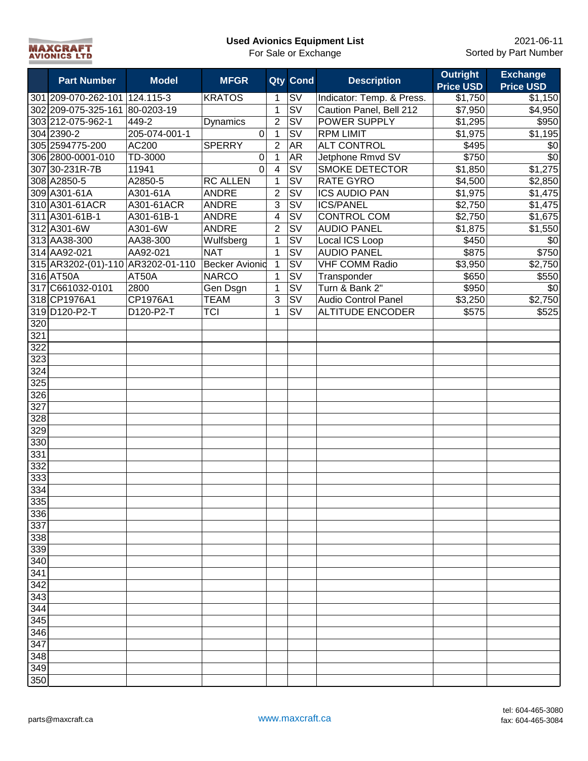| <b>Used Avionics Equipment List</b> |  |
|-------------------------------------|--|
|-------------------------------------|--|



|     |                                   |               |                       |                |                                   |                            | <b>Outright</b>  | <b>Exchange</b>     |
|-----|-----------------------------------|---------------|-----------------------|----------------|-----------------------------------|----------------------------|------------------|---------------------|
|     | <b>Part Number</b>                | <b>Model</b>  | <b>MFGR</b>           |                | Qty Cond                          | <b>Description</b>         | <b>Price USD</b> | <b>Price USD</b>    |
|     | 301 209-070-262-101 124.115-3     |               | <b>KRATOS</b>         | 1              | $\overline{\text{sv}}$            | Indicator: Temp. & Press.  | \$1,750          | \$1,150             |
|     | 302 209-075-325-161 80-0203-19    |               |                       | $\mathbf{1}$   | $\overline{\text{sv}}$            | Caution Panel, Bell 212    | \$7,950          | \$4,950             |
|     | 303 212-075-962-1                 | 449-2         | Dynamics              | $\overline{2}$ | $\overline{\text{sv}}$            | <b>POWER SUPPLY</b>        | \$1,295          | \$950               |
|     | 304 2390-2                        | 205-074-001-1 | 0                     | $\mathbf{1}$   | $\overline{\mathsf{S}}\mathsf{V}$ | <b>RPM LIMIT</b>           | \$1,975          | \$1,195             |
|     | 305 2594775-200                   | AC200         | <b>SPERRY</b>         | $\overline{2}$ | <b>AR</b>                         | <b>ALT CONTROL</b>         | \$495            | \$0                 |
|     | 306 2800-0001-010                 | TD-3000       | $\pmb{0}$             | $\overline{1}$ | <b>AR</b>                         | Jetphone Rmvd SV           | \$750            | $\overline{30}$     |
|     | 307 30-231R-7B                    | 11941         | $\overline{0}$        | $\overline{4}$ | $\overline{\mathsf{S}\mathsf{V}}$ | <b>SMOKE DETECTOR</b>      | \$1,850          | \$1,275             |
|     | 308 A2850-5                       | A2850-5       | <b>RC ALLEN</b>       | $\mathbf{1}$   | $\overline{\mathsf{S}\mathsf{V}}$ | RATE GYRO                  | \$4,500          | \$2,850             |
|     | 309 A301-61A                      | A301-61A      | <b>ANDRE</b>          | $\overline{2}$ | SV                                | <b>ICS AUDIO PAN</b>       | \$1,975          | \$1,475             |
|     | 310 A301-61ACR                    | A301-61ACR    | <b>ANDRE</b>          | $\overline{3}$ | SV                                | <b>ICS/PANEL</b>           | \$2,750          | \$1,475             |
|     | 311 A301-61B-1                    | A301-61B-1    | <b>ANDRE</b>          | $\overline{4}$ | SV                                | <b>CONTROL COM</b>         | \$2,750          | \$1,675             |
|     | 312 A301-6W                       | A301-6W       | <b>ANDRE</b>          | $\overline{2}$ | SV                                | <b>AUDIO PANEL</b>         | \$1,875          | \$1,550             |
|     | 313 AA38-300                      | AA38-300      | Wulfsberg             | 1              | <b>SV</b>                         | Local ICS Loop             | \$450            | \$0                 |
|     | 314 AA92-021                      | AA92-021      | <b>NAT</b>            | $\mathbf{1}$   | <b>SV</b>                         | <b>AUDIO PANEL</b>         | \$875            | \$750               |
|     | 315 AR3202-(01)-110 AR3202-01-110 |               | <b>Becker Avionid</b> | $\overline{1}$ | <b>SV</b>                         | <b>VHF COMM Radio</b>      | \$3,950          | \$2,750             |
|     | 316 AT50A                         | AT50A         | <b>NARCO</b>          | $\mathbf{1}$   | <b>SV</b>                         | Transponder                | \$650            | \$550               |
|     | 317 C661032-0101                  | 2800          | Gen Dsgn              | $\mathbf{1}$   | <b>SV</b>                         | Turn & Bank 2"             | \$950            | \$0                 |
|     | 318 CP1976A1                      | CP1976A1      | <b>TEAM</b>           | $\overline{3}$ | <b>SV</b>                         | <b>Audio Control Panel</b> | \$3,250          | $\overline{$2,750}$ |
|     | 319 D120-P2-T                     | D120-P2-T     | <b>TCI</b>            | $\mathbf{1}$   | <b>SV</b>                         | <b>ALTITUDE ENCODER</b>    | \$575            | \$525               |
| 320 |                                   |               |                       |                |                                   |                            |                  |                     |
| 321 |                                   |               |                       |                |                                   |                            |                  |                     |
| 322 |                                   |               |                       |                |                                   |                            |                  |                     |
| 323 |                                   |               |                       |                |                                   |                            |                  |                     |
| 324 |                                   |               |                       |                |                                   |                            |                  |                     |
| 325 |                                   |               |                       |                |                                   |                            |                  |                     |
| 326 |                                   |               |                       |                |                                   |                            |                  |                     |
| 327 |                                   |               |                       |                |                                   |                            |                  |                     |
| 328 |                                   |               |                       |                |                                   |                            |                  |                     |
| 329 |                                   |               |                       |                |                                   |                            |                  |                     |
| 330 |                                   |               |                       |                |                                   |                            |                  |                     |
| 331 |                                   |               |                       |                |                                   |                            |                  |                     |
| 332 |                                   |               |                       |                |                                   |                            |                  |                     |
| 333 |                                   |               |                       |                |                                   |                            |                  |                     |
| 334 |                                   |               |                       |                |                                   |                            |                  |                     |
| 335 |                                   |               |                       |                |                                   |                            |                  |                     |
| 336 |                                   |               |                       |                |                                   |                            |                  |                     |
| 337 |                                   |               |                       |                |                                   |                            |                  |                     |
| 338 |                                   |               |                       |                |                                   |                            |                  |                     |
| 339 |                                   |               |                       |                |                                   |                            |                  |                     |
| 340 |                                   |               |                       |                |                                   |                            |                  |                     |
| 341 |                                   |               |                       |                |                                   |                            |                  |                     |
| 342 |                                   |               |                       |                |                                   |                            |                  |                     |
| 343 |                                   |               |                       |                |                                   |                            |                  |                     |
| 344 |                                   |               |                       |                |                                   |                            |                  |                     |
| 345 |                                   |               |                       |                |                                   |                            |                  |                     |
| 346 |                                   |               |                       |                |                                   |                            |                  |                     |
| 347 |                                   |               |                       |                |                                   |                            |                  |                     |
| 348 |                                   |               |                       |                |                                   |                            |                  |                     |
| 349 |                                   |               |                       |                |                                   |                            |                  |                     |
| 350 |                                   |               |                       |                |                                   |                            |                  |                     |